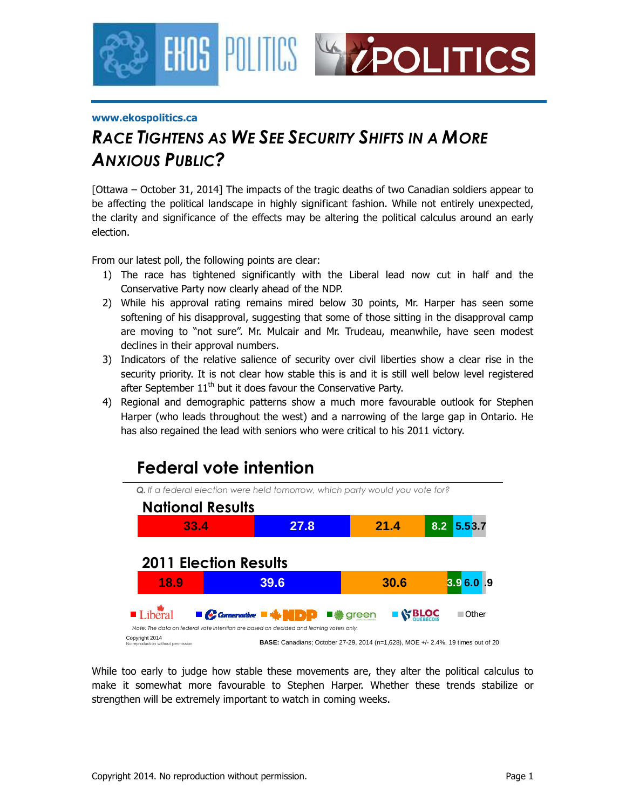

#### **www.ekospolitics.ca**

# *RACE TIGHTENS AS WE SEE SECURITY SHIFTS IN A MORE ANXIOUS PUBLIC?*

[Ottawa – October 31, 2014] The impacts of the tragic deaths of two Canadian soldiers appear to be affecting the political landscape in highly significant fashion. While not entirely unexpected, the clarity and significance of the effects may be altering the political calculus around an early election.

From our latest poll, the following points are clear:

- 1) The race has tightened significantly with the Liberal lead now cut in half and the Conservative Party now clearly ahead of the NDP.
- 2) While his approval rating remains mired below 30 points, Mr. Harper has seen some softening of his disapproval, suggesting that some of those sitting in the disapproval camp are moving to "not sure". Mr. Mulcair and Mr. Trudeau, meanwhile, have seen modest declines in their approval numbers.
- 3) Indicators of the relative salience of security over civil liberties show a clear rise in the security priority. It is not clear how stable this is and it is still well below level registered after September  $11<sup>th</sup>$  but it does favour the Conservative Party.
- 4) Regional and demographic patterns show a much more favourable outlook for Stephen Harper (who leads throughout the west) and a narrowing of the large gap in Ontario. He has also regained the lead with seniors who were critical to his 2011 victory.



While too early to judge how stable these movements are, they alter the political calculus to make it somewhat more favourable to Stephen Harper. Whether these trends stabilize or strengthen will be extremely important to watch in coming weeks.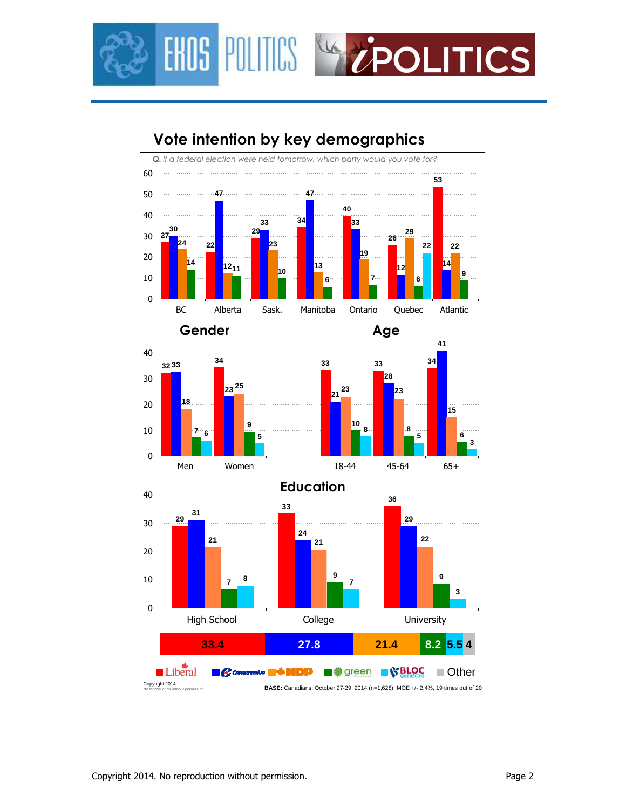



# **Vote intention by key demographics**





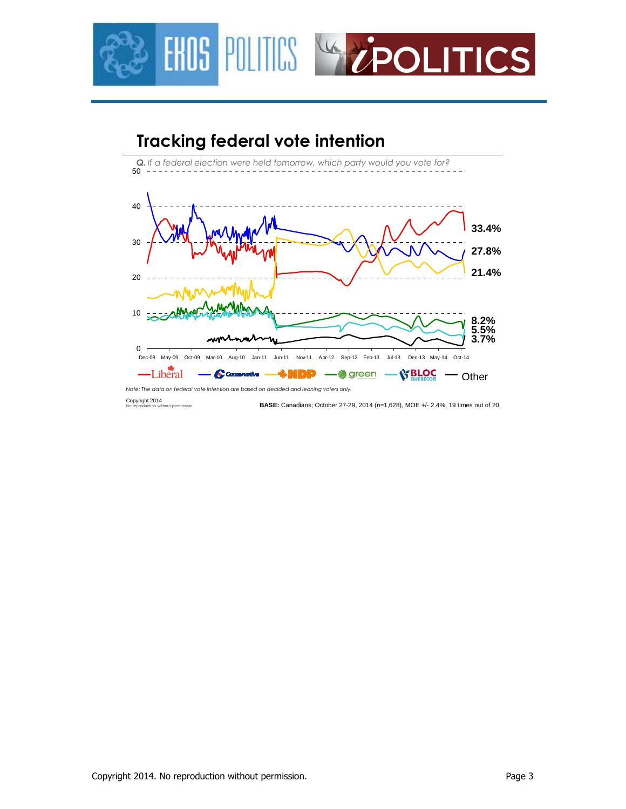

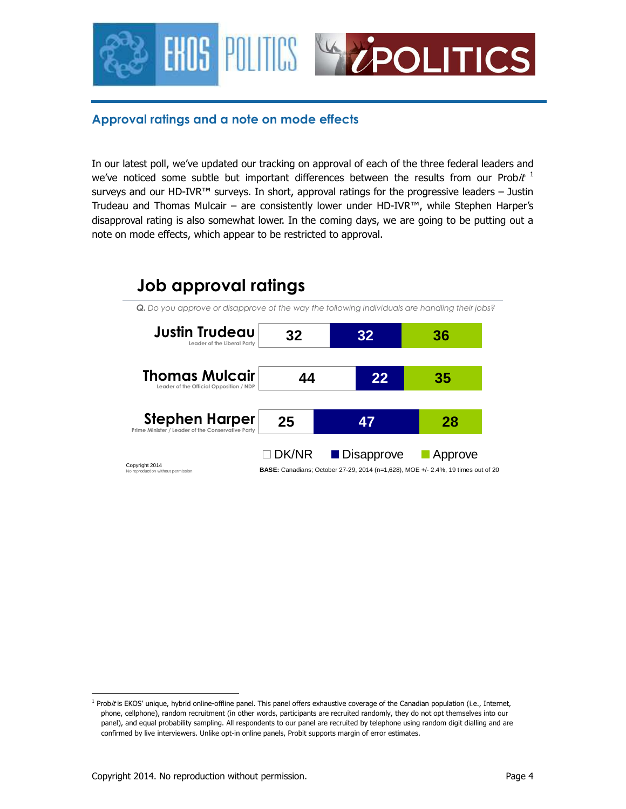

## **Approval ratings and a note on mode effects**

In our latest poll, we've updated our tracking on approval of each of the three federal leaders and we've noticed some subtle but important differences between the results from our Probit  $^1$ surveys and our HD-IVR™ surveys. In short, approval ratings for the progressive leaders – Justin Trudeau and Thomas Mulcair – are consistently lower under HD-IVR™, while Stephen Harper's disapproval rating is also somewhat lower. In the coming days, we are going to be putting out a note on mode effects, which appear to be restricted to approval.

# **Job approval ratings**

*Q. Do you approve or disapprove of the way the following individuals are handling their jobs?* **Stephen Harper Prime Minister / Leader of the Conservative Party Justin Trudeau Leader of the Liberal Party Thomas Mulcair Leader of the Official Opposition / NDP 25 44 32 47 22 32 28 35 36**  $\Box$ DK/NR **Disapprove** Approve **Copyright 2014**<br>No reproduction without permission **BASE:** Canadians; October 27-29, 2014 (n=1,628), MOE +/- 2.4%, 19 times out of 20

<sup>1</sup> Probit is EKOS' unique, hybrid online-offline panel. This panel offers exhaustive coverage of the Canadian population (i.e., Internet, phone, cellphone), random recruitment (in other words, participants are recruited randomly, they do not opt themselves into our panel), and equal probability sampling. All respondents to our panel are recruited by telephone using random digit dialling and are confirmed by live interviewers. Unlike opt-in online panels, Probit supports margin of error estimates.

-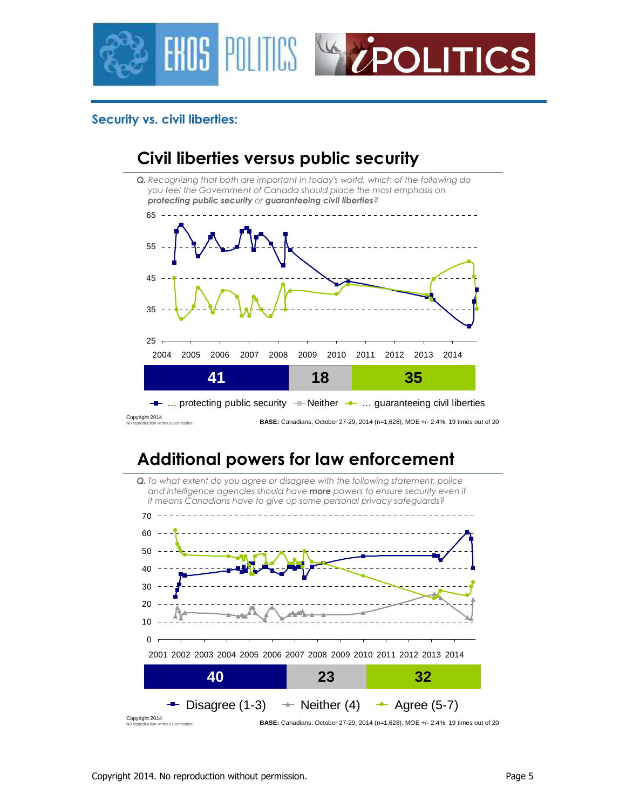

## **Security vs. civil liberties:**



# **Additional powers for law enforcement**

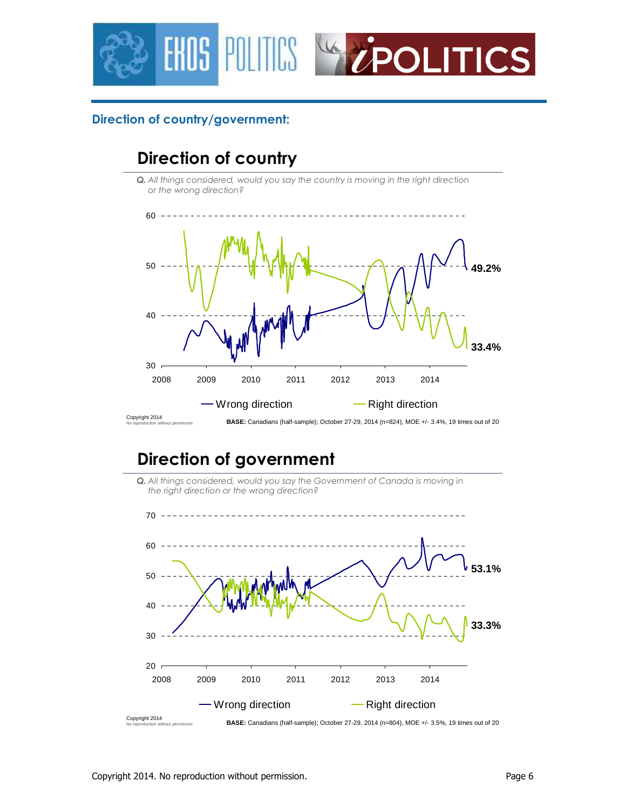



## **Direction of country/government:**

# **Direction of country**

*Q. All things considered, would you say the country is moving in the right direction or the wrong direction?*



# **Direction of government**



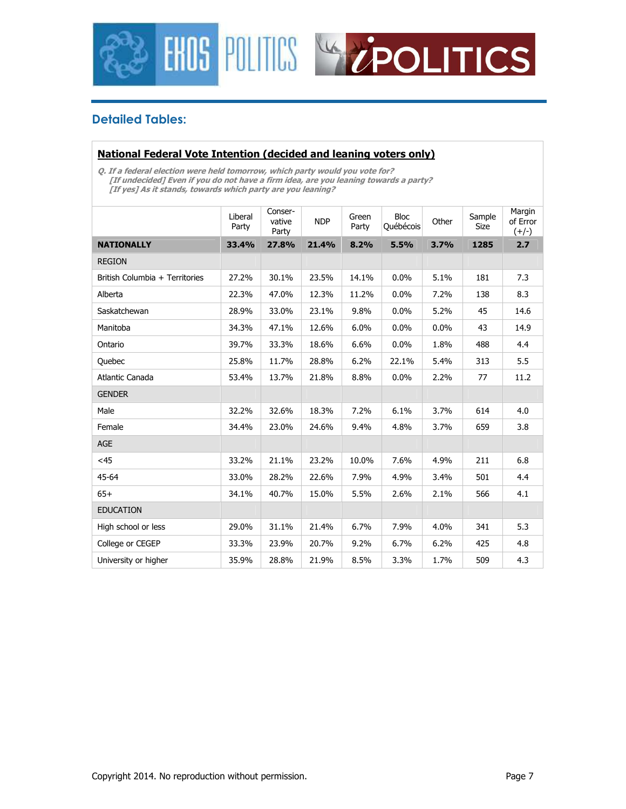



## **Detailed Tables:**

#### **National Federal Vote Intention (decided and leaning voters only)**

**Q. If a federal election were held tomorrow, which party would you vote for? [If undecided] Even if you do not have a firm idea, are you leaning towards a party? [If yes] As it stands, towards which party are you leaning?** 

|                                | Liberal<br>Party | Conser-<br>vative<br>Party | <b>NDP</b> | Green<br>Party | <b>Bloc</b><br>Québécois | Other   | Sample<br>Size | Margin<br>of Error<br>$(+/-)$ |
|--------------------------------|------------------|----------------------------|------------|----------------|--------------------------|---------|----------------|-------------------------------|
| <b>NATIONALLY</b>              | 33.4%            | 27.8%                      | 21.4%      | 8.2%           | 5.5%                     | 3.7%    | 1285           | 2.7                           |
| <b>REGION</b>                  |                  |                            |            |                |                          |         |                |                               |
| British Columbia + Territories | 27.2%            | 30.1%                      | 23.5%      | 14.1%          | 0.0%                     | 5.1%    | 181            | 7.3                           |
| Alberta                        | 22.3%            | 47.0%                      | 12.3%      | 11.2%          | 0.0%                     | 7.2%    | 138            | 8.3                           |
| Saskatchewan                   | 28.9%            | 33.0%                      | 23.1%      | 9.8%           | 0.0%                     | 5.2%    | 45             | 14.6                          |
| Manitoba                       | 34.3%            | 47.1%                      | 12.6%      | 6.0%           | 0.0%                     | $0.0\%$ | 43             | 14.9                          |
| Ontario                        | 39.7%            | 33.3%                      | 18.6%      | 6.6%           | 0.0%                     | 1.8%    | 488            | 4.4                           |
| Quebec                         | 25.8%            | 11.7%                      | 28.8%      | 6.2%           | 22.1%                    | 5.4%    | 313            | 5.5                           |
| Atlantic Canada                | 53.4%            | 13.7%                      | 21.8%      | 8.8%           | 0.0%                     | 2.2%    | 77             | 11.2                          |
| <b>GENDER</b>                  |                  |                            |            |                |                          |         |                |                               |
| Male                           | 32.2%            | 32.6%                      | 18.3%      | 7.2%           | 6.1%                     | 3.7%    | 614            | 4.0                           |
| Female                         | 34.4%            | 23.0%                      | 24.6%      | 9.4%           | 4.8%                     | 3.7%    | 659            | 3.8                           |
| <b>AGE</b>                     |                  |                            |            |                |                          |         |                |                               |
| $<$ 45                         | 33.2%            | 21.1%                      | 23.2%      | 10.0%          | 7.6%                     | 4.9%    | 211            | 6.8                           |
| 45-64                          | 33.0%            | 28.2%                      | 22.6%      | 7.9%           | 4.9%                     | 3.4%    | 501            | 4.4                           |
| $65+$                          | 34.1%            | 40.7%                      | 15.0%      | 5.5%           | 2.6%                     | 2.1%    | 566            | 4.1                           |
| <b>EDUCATION</b>               |                  |                            |            |                |                          |         |                |                               |
| High school or less            | 29.0%            | 31.1%                      | 21.4%      | 6.7%           | 7.9%                     | 4.0%    | 341            | 5.3                           |
| College or CEGEP               | 33.3%            | 23.9%                      | 20.7%      | 9.2%           | 6.7%                     | 6.2%    | 425            | 4.8                           |
| University or higher           | 35.9%            | 28.8%                      | 21.9%      | 8.5%           | 3.3%                     | 1.7%    | 509            | 4.3                           |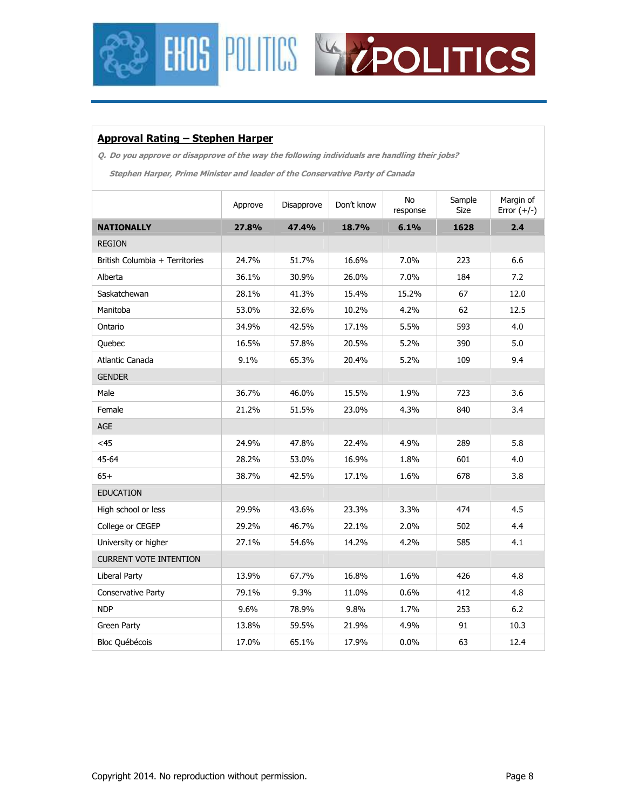



### **Approval Rating – Stephen Harper**

**Q. Do you approve or disapprove of the way the following individuals are handling their jobs?** 

**Stephen Harper, Prime Minister and leader of the Conservative Party of Canada** 

|                                | Approve | Disapprove | Don't know | No<br>response | Sample<br><b>Size</b> | Margin of<br>Error $(+/-)$ |
|--------------------------------|---------|------------|------------|----------------|-----------------------|----------------------------|
| <b>NATIONALLY</b>              | 27.8%   | 47.4%      | 18.7%      | 6.1%           | 1628                  | 2.4                        |
| <b>REGION</b>                  |         |            |            |                |                       |                            |
| British Columbia + Territories | 24.7%   | 51.7%      | 16.6%      | 7.0%           | 223                   | 6.6                        |
| Alberta                        | 36.1%   | 30.9%      | 26.0%      | 7.0%           | 184                   | 7.2                        |
| Saskatchewan                   | 28.1%   | 41.3%      | 15.4%      | 15.2%          | 67                    | 12.0                       |
| Manitoba                       | 53.0%   | 32.6%      | 10.2%      | 4.2%           | 62                    | 12.5                       |
| Ontario                        | 34.9%   | 42.5%      | 17.1%      | 5.5%           | 593                   | 4.0                        |
| Quebec                         | 16.5%   | 57.8%      | 20.5%      | 5.2%           | 390                   | 5.0                        |
| Atlantic Canada                | 9.1%    | 65.3%      | 20.4%      | 5.2%           | 109                   | 9.4                        |
| <b>GENDER</b>                  |         |            |            |                |                       |                            |
| Male                           | 36.7%   | 46.0%      | 15.5%      | 1.9%           | 723                   | 3.6                        |
| Female                         | 21.2%   | 51.5%      | 23.0%      | 4.3%           | 840                   | 3.4                        |
| <b>AGE</b>                     |         |            |            |                |                       |                            |
| $<$ 45                         | 24.9%   | 47.8%      | 22.4%      | 4.9%           | 289                   | 5.8                        |
| 45-64                          | 28.2%   | 53.0%      | 16.9%      | 1.8%           | 601                   | 4.0                        |
| $65+$                          | 38.7%   | 42.5%      | 17.1%      | 1.6%           | 678                   | 3.8                        |
| <b>EDUCATION</b>               |         |            |            |                |                       |                            |
| High school or less            | 29.9%   | 43.6%      | 23.3%      | 3.3%           | 474                   | 4.5                        |
| College or CEGEP               | 29.2%   | 46.7%      | 22.1%      | 2.0%           | 502                   | 4.4                        |
| University or higher           | 27.1%   | 54.6%      | 14.2%      | 4.2%           | 585                   | 4.1                        |
| <b>CURRENT VOTE INTENTION</b>  |         |            |            |                |                       |                            |
| Liberal Party                  | 13.9%   | 67.7%      | 16.8%      | 1.6%           | 426                   | 4.8                        |
| <b>Conservative Party</b>      | 79.1%   | 9.3%       | 11.0%      | 0.6%           | 412                   | 4.8                        |
| <b>NDP</b>                     | 9.6%    | 78.9%      | 9.8%       | 1.7%           | 253                   | 6.2                        |
| Green Party                    | 13.8%   | 59.5%      | 21.9%      | 4.9%           | 91                    | 10.3                       |
| <b>Bloc Québécois</b>          | 17.0%   | 65.1%      | 17.9%      | 0.0%           | 63                    | 12.4                       |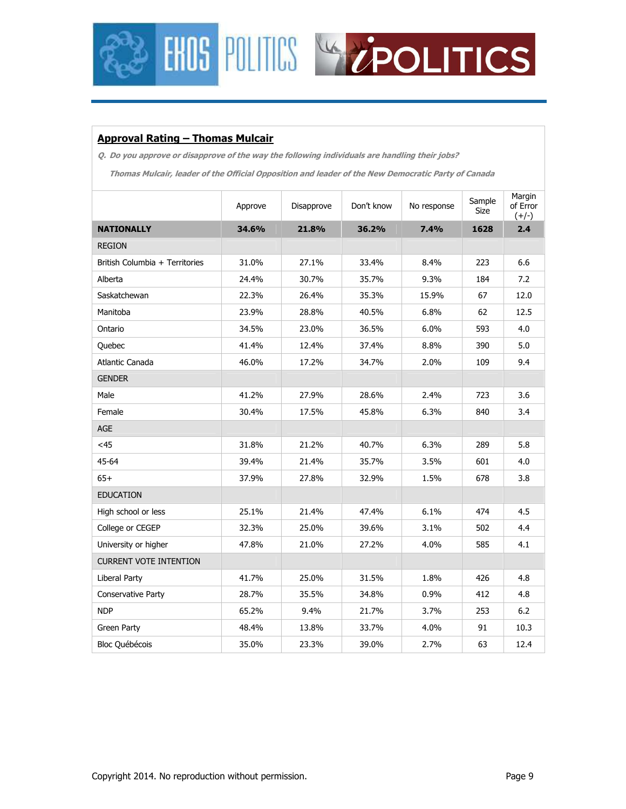



### **Approval Rating – Thomas Mulcair**

**Q. Do you approve or disapprove of the way the following individuals are handling their jobs?** 

**Thomas Mulcair, leader of the Official Opposition and leader of the New Democratic Party of Canada** 

|                                | Approve | Disapprove | Don't know | No response | Sample<br><b>Size</b> | Margin<br>of Error<br>$(+/-)$ |
|--------------------------------|---------|------------|------------|-------------|-----------------------|-------------------------------|
| <b>NATIONALLY</b>              | 34.6%   | 21.8%      | 36.2%      | 7.4%        | 1628                  | 2.4                           |
| <b>REGION</b>                  |         |            |            |             |                       |                               |
| British Columbia + Territories | 31.0%   | 27.1%      | 33.4%      | 8.4%        | 223                   | 6.6                           |
| Alberta                        | 24.4%   | 30.7%      | 35.7%      | 9.3%        | 184                   | 7.2                           |
| Saskatchewan                   | 22.3%   | 26.4%      | 35.3%      | 15.9%       | 67                    | 12.0                          |
| Manitoba                       | 23.9%   | 28.8%      | 40.5%      | 6.8%        | 62                    | 12.5                          |
| Ontario                        | 34.5%   | 23.0%      | 36.5%      | 6.0%        | 593                   | 4.0                           |
| Quebec                         | 41.4%   | 12.4%      | 37.4%      | 8.8%        | 390                   | 5.0                           |
| Atlantic Canada                | 46.0%   | 17.2%      | 34.7%      | 2.0%        | 109                   | 9.4                           |
| <b>GENDER</b>                  |         |            |            |             |                       |                               |
| Male                           | 41.2%   | 27.9%      | 28.6%      | 2.4%        | 723                   | 3.6                           |
| Female                         | 30.4%   | 17.5%      | 45.8%      | 6.3%        | 840                   | 3.4                           |
| AGE                            |         |            |            |             |                       |                               |
| $<$ 45                         | 31.8%   | 21.2%      | 40.7%      | 6.3%        | 289                   | 5.8                           |
| 45-64                          | 39.4%   | 21.4%      | 35.7%      | 3.5%        | 601                   | 4.0                           |
| $65+$                          | 37.9%   | 27.8%      | 32.9%      | 1.5%        | 678                   | 3.8                           |
| <b>EDUCATION</b>               |         |            |            |             |                       |                               |
| High school or less            | 25.1%   | 21.4%      | 47.4%      | 6.1%        | 474                   | 4.5                           |
| College or CEGEP               | 32.3%   | 25.0%      | 39.6%      | 3.1%        | 502                   | 4.4                           |
| University or higher           | 47.8%   | 21.0%      | 27.2%      | 4.0%        | 585                   | 4.1                           |
| <b>CURRENT VOTE INTENTION</b>  |         |            |            |             |                       |                               |
| <b>Liberal Party</b>           | 41.7%   | 25.0%      | 31.5%      | 1.8%        | 426                   | 4.8                           |
| Conservative Party             | 28.7%   | 35.5%      | 34.8%      | 0.9%        | 412                   | 4.8                           |
| <b>NDP</b>                     | 65.2%   | 9.4%       | 21.7%      | 3.7%        | 253                   | $6.2$                         |
| Green Party                    | 48.4%   | 13.8%      | 33.7%      | 4.0%        | 91                    | 10.3                          |
| Bloc Québécois                 | 35.0%   | 23.3%      | 39.0%      | 2.7%        | 63                    | 12.4                          |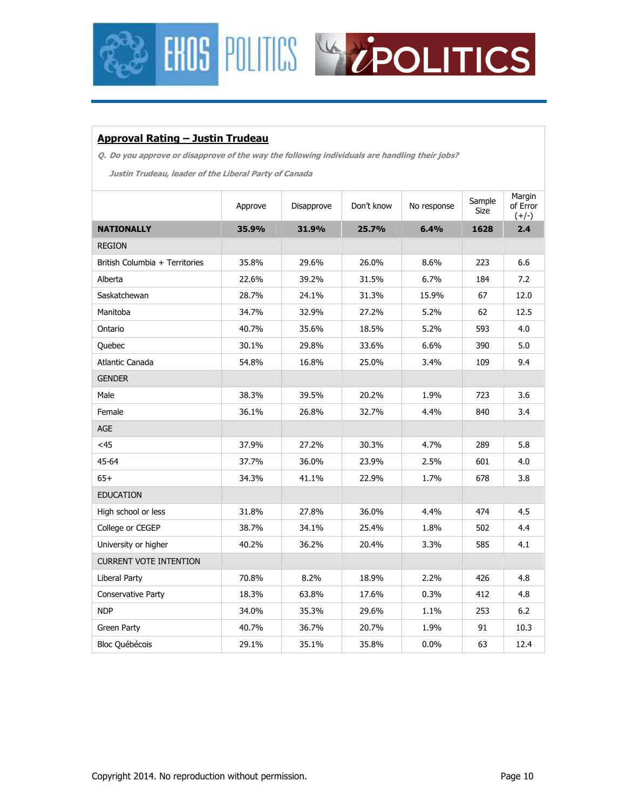



### **Approval Rating – Justin Trudeau**

**Q. Do you approve or disapprove of the way the following individuals are handling their jobs?** 

**Justin Trudeau, leader of the Liberal Party of Canada** 

|                                | Approve | Disapprove | Don't know | No response | Sample<br><b>Size</b> | Margin<br>of Error<br>$(+/-)$ |
|--------------------------------|---------|------------|------------|-------------|-----------------------|-------------------------------|
| <b>NATIONALLY</b>              | 35.9%   | 31.9%      | 25.7%      | 6.4%        | 1628                  | 2.4                           |
| <b>REGION</b>                  |         |            |            |             |                       |                               |
| British Columbia + Territories | 35.8%   | 29.6%      | 26.0%      | 8.6%        | 223                   | 6.6                           |
| Alberta                        | 22.6%   | 39.2%      | 31.5%      | 6.7%        | 184                   | 7.2                           |
| Saskatchewan                   | 28.7%   | 24.1%      | 31.3%      | 15.9%       | 67                    | 12.0                          |
| Manitoba                       | 34.7%   | 32.9%      | 27.2%      | 5.2%        | 62                    | 12.5                          |
| Ontario                        | 40.7%   | 35.6%      | 18.5%      | 5.2%        | 593                   | 4.0                           |
| Quebec                         | 30.1%   | 29.8%      | 33.6%      | 6.6%        | 390                   | 5.0                           |
| Atlantic Canada                | 54.8%   | 16.8%      | 25.0%      | 3.4%        | 109                   | 9.4                           |
| <b>GENDER</b>                  |         |            |            |             |                       |                               |
| Male                           | 38.3%   | 39.5%      | 20.2%      | 1.9%        | 723                   | 3.6                           |
| Female                         | 36.1%   | 26.8%      | 32.7%      | 4.4%        | 840                   | 3.4                           |
| AGE                            |         |            |            |             |                       |                               |
| $<$ 45                         | 37.9%   | 27.2%      | 30.3%      | 4.7%        | 289                   | 5.8                           |
| 45-64                          | 37.7%   | 36.0%      | 23.9%      | 2.5%        | 601                   | 4.0                           |
| $65+$                          | 34.3%   | 41.1%      | 22.9%      | 1.7%        | 678                   | 3.8                           |
| <b>EDUCATION</b>               |         |            |            |             |                       |                               |
| High school or less            | 31.8%   | 27.8%      | 36.0%      | 4.4%        | 474                   | 4.5                           |
| College or CEGEP               | 38.7%   | 34.1%      | 25.4%      | 1.8%        | 502                   | 4.4                           |
| University or higher           | 40.2%   | 36.2%      | 20.4%      | 3.3%        | 585                   | 4.1                           |
| <b>CURRENT VOTE INTENTION</b>  |         |            |            |             |                       |                               |
| <b>Liberal Party</b>           | 70.8%   | 8.2%       | 18.9%      | 2.2%        | 426                   | 4.8                           |
| <b>Conservative Party</b>      | 18.3%   | 63.8%      | 17.6%      | 0.3%        | 412                   | 4.8                           |
| <b>NDP</b>                     | 34.0%   | 35.3%      | 29.6%      | 1.1%        | 253                   | 6.2                           |
| Green Party                    | 40.7%   | 36.7%      | 20.7%      | 1.9%        | 91                    | 10.3                          |
| Bloc Québécois                 | 29.1%   | 35.1%      | 35.8%      | 0.0%        | 63                    | 12.4                          |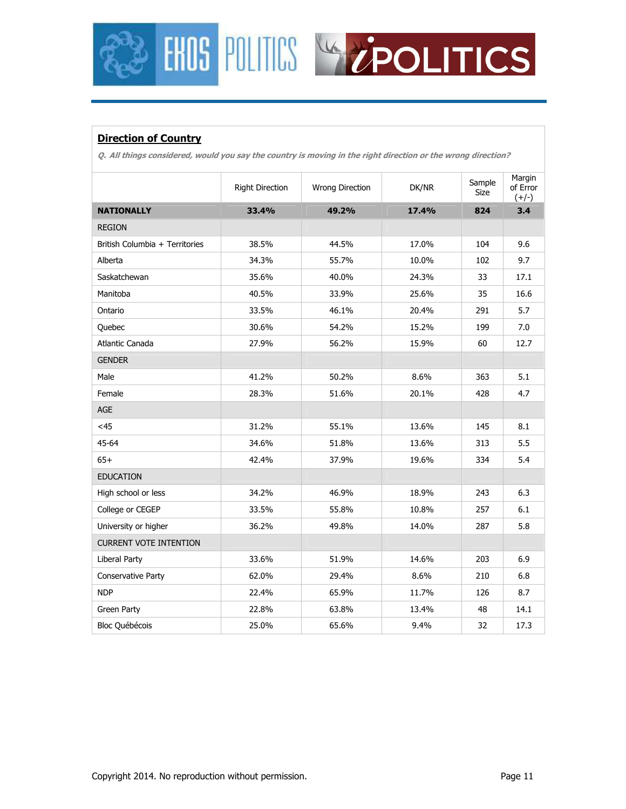## **Direction of Country**

**Q. All things considered, would you say the country is moving in the right direction or the wrong direction?** 

**FHOS POLITICS** WY EPOLITICS

|                                | <b>Right Direction</b> | Wrong Direction | DK/NR | Sample<br>Size | Margin<br>of Error<br>$(+/-)$ |
|--------------------------------|------------------------|-----------------|-------|----------------|-------------------------------|
| <b>NATIONALLY</b>              | 33.4%                  | 49.2%           | 17.4% | 824            | 3.4                           |
| <b>REGION</b>                  |                        |                 |       |                |                               |
| British Columbia + Territories | 38.5%                  | 44.5%           | 17.0% | 104            | 9.6                           |
| Alberta                        | 34.3%                  | 55.7%           | 10.0% | 102            | 9.7                           |
| Saskatchewan                   | 35.6%                  | 40.0%           | 24.3% | 33             | 17.1                          |
| Manitoba                       | 40.5%                  | 33.9%           | 25.6% | 35             | 16.6                          |
| Ontario                        | 33.5%                  | 46.1%           | 20.4% | 291            | 5.7                           |
| Quebec                         | 30.6%                  | 54.2%           | 15.2% | 199            | 7.0                           |
| Atlantic Canada                | 27.9%                  | 56.2%           | 15.9% | 60             | 12.7                          |
| <b>GENDER</b>                  |                        |                 |       |                |                               |
| Male                           | 41.2%                  | 50.2%           | 8.6%  | 363            | 5.1                           |
| Female                         | 28.3%                  | 51.6%           | 20.1% | 428            | 4.7                           |
| AGE                            |                        |                 |       |                |                               |
| $<$ 45                         | 31.2%                  | 55.1%           | 13.6% | 145            | 8.1                           |
| 45-64                          | 34.6%                  | 51.8%           | 13.6% | 313            | 5.5                           |
| $65+$                          | 42.4%                  | 37.9%           | 19.6% | 334            | 5.4                           |
| <b>EDUCATION</b>               |                        |                 |       |                |                               |
| High school or less            | 34.2%                  | 46.9%           | 18.9% | 243            | 6.3                           |
| College or CEGEP               | 33.5%                  | 55.8%           | 10.8% | 257            | 6.1                           |
| University or higher           | 36.2%                  | 49.8%           | 14.0% | 287            | 5.8                           |
| <b>CURRENT VOTE INTENTION</b>  |                        |                 |       |                |                               |
| Liberal Party                  | 33.6%                  | 51.9%           | 14.6% | 203            | 6.9                           |
| Conservative Party             | 62.0%                  | 29.4%           | 8.6%  | 210            | 6.8                           |
| <b>NDP</b>                     | 22.4%                  | 65.9%           | 11.7% | 126            | 8.7                           |
| Green Party                    | 22.8%                  | 63.8%           | 13.4% | 48             | 14.1                          |
| Bloc Québécois                 | 25.0%                  | 65.6%           | 9.4%  | 32             | 17.3                          |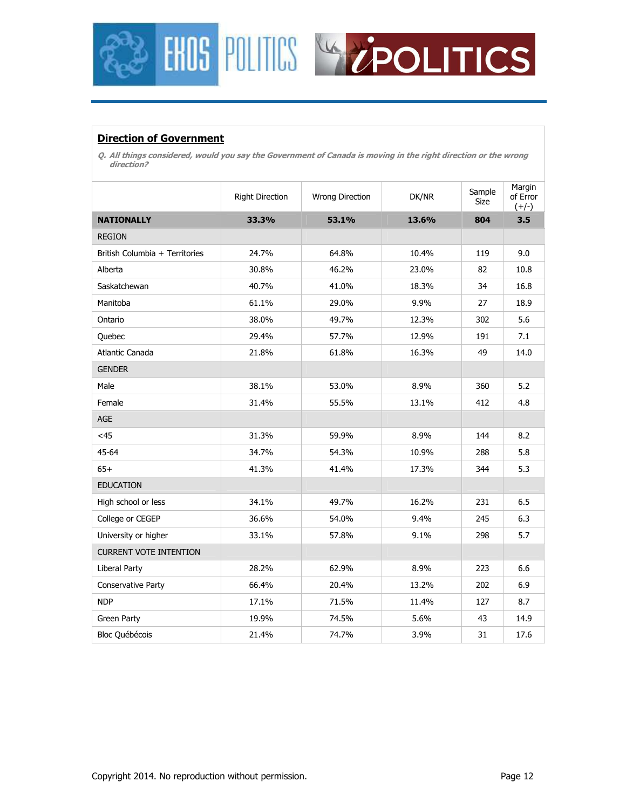



### **Direction of Government**

**Q. All things considered, would you say the Government of Canada is moving in the right direction or the wrong direction?** 

|                                | <b>Right Direction</b> | Wrong Direction | DK/NR | Sample<br>Size | Margin<br>of Error<br>$(+/-)$ |
|--------------------------------|------------------------|-----------------|-------|----------------|-------------------------------|
| <b>NATIONALLY</b>              | 33.3%                  | 53.1%           | 13.6% | 804            | 3.5                           |
| <b>REGION</b>                  |                        |                 |       |                |                               |
| British Columbia + Territories | 24.7%                  | 64.8%           | 10.4% | 119            | 9.0                           |
| Alberta                        | 30.8%                  | 46.2%           | 23.0% | 82             | 10.8                          |
| Saskatchewan                   | 40.7%                  | 41.0%           | 18.3% | 34             | 16.8                          |
| Manitoba                       | 61.1%                  | 29.0%           | 9.9%  | 27             | 18.9                          |
| Ontario                        | 38.0%                  | 49.7%           | 12.3% | 302            | 5.6                           |
| Quebec                         | 29.4%                  | 57.7%           | 12.9% | 191            | 7.1                           |
| Atlantic Canada                | 21.8%                  | 61.8%           | 16.3% | 49             | 14.0                          |
| <b>GENDER</b>                  |                        |                 |       |                |                               |
| Male                           | 38.1%                  | 53.0%           | 8.9%  | 360            | 5.2                           |
| Female                         | 31.4%                  | 55.5%           | 13.1% | 412            | 4.8                           |
| AGE                            |                        |                 |       |                |                               |
| $<$ 45                         | 31.3%                  | 59.9%           | 8.9%  | 144            | 8.2                           |
| 45-64                          | 34.7%                  | 54.3%           | 10.9% | 288            | 5.8                           |
| $65+$                          | 41.3%                  | 41.4%           | 17.3% | 344            | 5.3                           |
| <b>EDUCATION</b>               |                        |                 |       |                |                               |
| High school or less            | 34.1%                  | 49.7%           | 16.2% | 231            | 6.5                           |
| College or CEGEP               | 36.6%                  | 54.0%           | 9.4%  | 245            | 6.3                           |
| University or higher           | 33.1%                  | 57.8%           | 9.1%  | 298            | 5.7                           |
| <b>CURRENT VOTE INTENTION</b>  |                        |                 |       |                |                               |
| <b>Liberal Party</b>           | 28.2%                  | 62.9%           | 8.9%  | 223            | 6.6                           |
| Conservative Party             | 66.4%                  | 20.4%           | 13.2% | 202            | 6.9                           |
| <b>NDP</b>                     | 17.1%                  | 71.5%           | 11.4% | 127            | 8.7                           |
| Green Party                    | 19.9%                  | 74.5%           | 5.6%  | 43             | 14.9                          |
| Bloc Québécois                 | 21.4%                  | 74.7%           | 3.9%  | 31             | 17.6                          |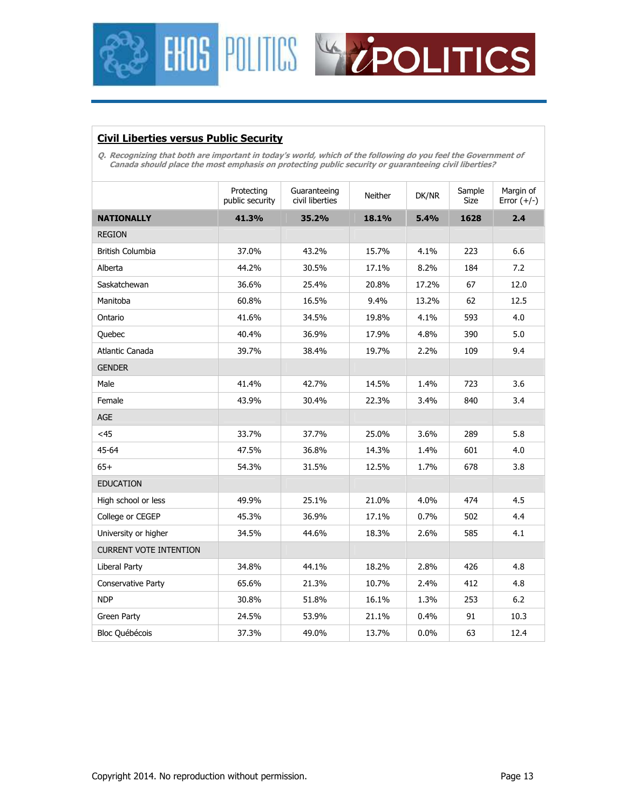



## **Civil Liberties versus Public Security**

**Q. Recognizing that both are important in today's world, which of the following do you feel the Government of Canada should place the most emphasis on protecting public security or guaranteeing civil liberties?** 

|                               | Protecting<br>public security | Guaranteeing<br>civil liberties | <b>Neither</b> | DK/NR   | Sample<br>Size | Margin of<br>Error $(+/-)$ |
|-------------------------------|-------------------------------|---------------------------------|----------------|---------|----------------|----------------------------|
| <b>NATIONALLY</b>             | 41.3%                         | 35.2%                           | 18.1%          | 5.4%    | 1628           | 2.4                        |
| <b>REGION</b>                 |                               |                                 |                |         |                |                            |
| <b>British Columbia</b>       | 37.0%                         | 43.2%                           | 15.7%          | 4.1%    | 223            | 6.6                        |
| Alberta                       | 44.2%                         | 30.5%                           | 17.1%          | 8.2%    | 184            | 7.2                        |
| Saskatchewan                  | 36.6%                         | 25.4%                           | 20.8%          | 17.2%   | 67             | 12.0                       |
| Manitoba                      | 60.8%                         | 16.5%                           | 9.4%           | 13.2%   | 62             | 12.5                       |
| Ontario                       | 41.6%                         | 34.5%                           | 19.8%          | 4.1%    | 593            | 4.0                        |
| Quebec                        | 40.4%                         | 36.9%                           | 17.9%          | 4.8%    | 390            | 5.0                        |
| Atlantic Canada               | 39.7%                         | 38.4%                           | 19.7%          | 2.2%    | 109            | 9.4                        |
| <b>GENDER</b>                 |                               |                                 |                |         |                |                            |
| Male                          | 41.4%                         | 42.7%                           | 14.5%          | 1.4%    | 723            | 3.6                        |
| Female                        | 43.9%                         | 30.4%                           | 22.3%          | 3.4%    | 840            | 3.4                        |
| <b>AGE</b>                    |                               |                                 |                |         |                |                            |
| $<$ 45                        | 33.7%                         | 37.7%                           | 25.0%          | 3.6%    | 289            | 5.8                        |
| 45-64                         | 47.5%                         | 36.8%                           | 14.3%          | 1.4%    | 601            | 4.0                        |
| $65+$                         | 54.3%                         | 31.5%                           | 12.5%          | 1.7%    | 678            | 3.8                        |
| <b>EDUCATION</b>              |                               |                                 |                |         |                |                            |
| High school or less           | 49.9%                         | 25.1%                           | 21.0%          | 4.0%    | 474            | 4.5                        |
| College or CEGEP              | 45.3%                         | 36.9%                           | 17.1%          | 0.7%    | 502            | 4.4                        |
| University or higher          | 34.5%                         | 44.6%                           | 18.3%          | 2.6%    | 585            | 4.1                        |
| <b>CURRENT VOTE INTENTION</b> |                               |                                 |                |         |                |                            |
| Liberal Party                 | 34.8%                         | 44.1%                           | 18.2%          | 2.8%    | 426            | 4.8                        |
| <b>Conservative Party</b>     | 65.6%                         | 21.3%                           | 10.7%          | 2.4%    | 412            | 4.8                        |
| <b>NDP</b>                    | 30.8%                         | 51.8%                           | 16.1%          | 1.3%    | 253            | 6.2                        |
| Green Party                   | 24.5%                         | 53.9%                           | 21.1%          | 0.4%    | 91             | 10.3                       |
| <b>Bloc Québécois</b>         | 37.3%                         | 49.0%                           | 13.7%          | $0.0\%$ | 63             | 12.4                       |
|                               |                               |                                 |                |         |                |                            |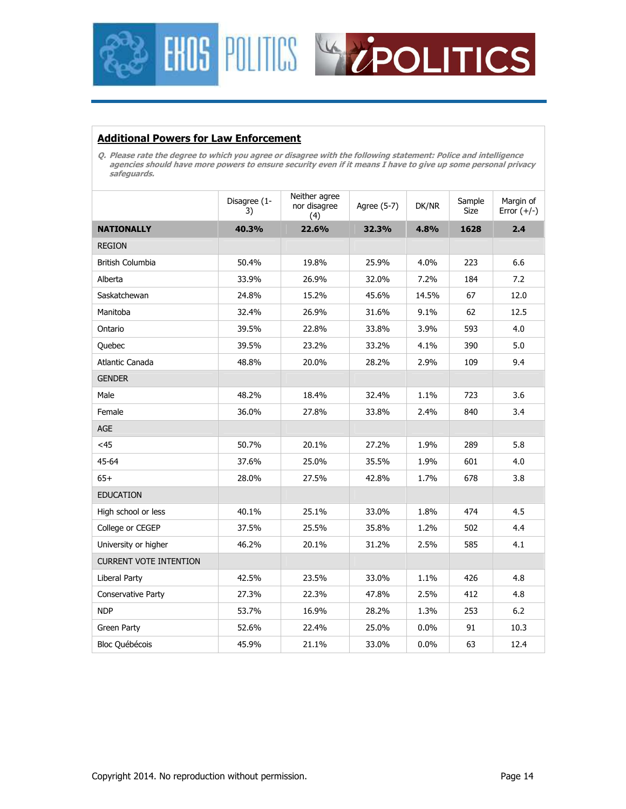



### **Additional Powers for Law Enforcement**

**Q. Please rate the degree to which you agree or disagree with the following statement: Police and intelligence agencies should have more powers to ensure security even if it means I have to give up some personal privacy safeguards.** 

|                               | Disagree (1-<br>3) | Neither agree<br>nor disagree<br>(4) | Agree (5-7) | DK/NR | Sample<br>Size | Margin of<br>Error $(+/-)$ |
|-------------------------------|--------------------|--------------------------------------|-------------|-------|----------------|----------------------------|
| <b>NATIONALLY</b>             | 40.3%              | 22.6%                                | 32.3%       | 4.8%  | 1628           | 2.4                        |
| <b>REGION</b>                 |                    |                                      |             |       |                |                            |
| <b>British Columbia</b>       | 50.4%              | 19.8%                                | 25.9%       | 4.0%  | 223            | 6.6                        |
| Alberta                       | 33.9%              | 26.9%                                | 32.0%       | 7.2%  | 184            | 7.2                        |
| Saskatchewan                  | 24.8%              | 15.2%                                | 45.6%       | 14.5% | 67             | 12.0                       |
| Manitoba                      | 32.4%              | 26.9%                                | 31.6%       | 9.1%  | 62             | 12.5                       |
| Ontario                       | 39.5%              | 22.8%                                | 33.8%       | 3.9%  | 593            | 4.0                        |
| Quebec                        | 39.5%              | 23.2%                                | 33.2%       | 4.1%  | 390            | 5.0                        |
| Atlantic Canada               | 48.8%              | 20.0%                                | 28.2%       | 2.9%  | 109            | 9.4                        |
| <b>GENDER</b>                 |                    |                                      |             |       |                |                            |
| Male                          | 48.2%              | 18.4%                                | 32.4%       | 1.1%  | 723            | 3.6                        |
| Female                        | 36.0%              | 27.8%                                | 33.8%       | 2.4%  | 840            | 3.4                        |
| AGE                           |                    |                                      |             |       |                |                            |
| $<$ 45                        | 50.7%              | 20.1%                                | 27.2%       | 1.9%  | 289            | 5.8                        |
| 45-64                         | 37.6%              | 25.0%                                | 35.5%       | 1.9%  | 601            | 4.0                        |
| $65+$                         | 28.0%              | 27.5%                                | 42.8%       | 1.7%  | 678            | 3.8                        |
| <b>EDUCATION</b>              |                    |                                      |             |       |                |                            |
| High school or less           | 40.1%              | 25.1%                                | 33.0%       | 1.8%  | 474            | 4.5                        |
| College or CEGEP              | 37.5%              | 25.5%                                | 35.8%       | 1.2%  | 502            | 4.4                        |
| University or higher          | 46.2%              | 20.1%                                | 31.2%       | 2.5%  | 585            | 4.1                        |
| <b>CURRENT VOTE INTENTION</b> |                    |                                      |             |       |                |                            |
| Liberal Party                 | 42.5%              | 23.5%                                | 33.0%       | 1.1%  | 426            | 4.8                        |
| <b>Conservative Party</b>     | 27.3%              | 22.3%                                | 47.8%       | 2.5%  | 412            | 4.8                        |
| <b>NDP</b>                    | 53.7%              | 16.9%                                | 28.2%       | 1.3%  | 253            | 6.2                        |
| Green Party                   | 52.6%              | 22.4%                                | 25.0%       | 0.0%  | 91             | 10.3                       |
| <b>Bloc Québécois</b>         | 45.9%              | 21.1%                                | 33.0%       | 0.0%  | 63             | 12.4                       |